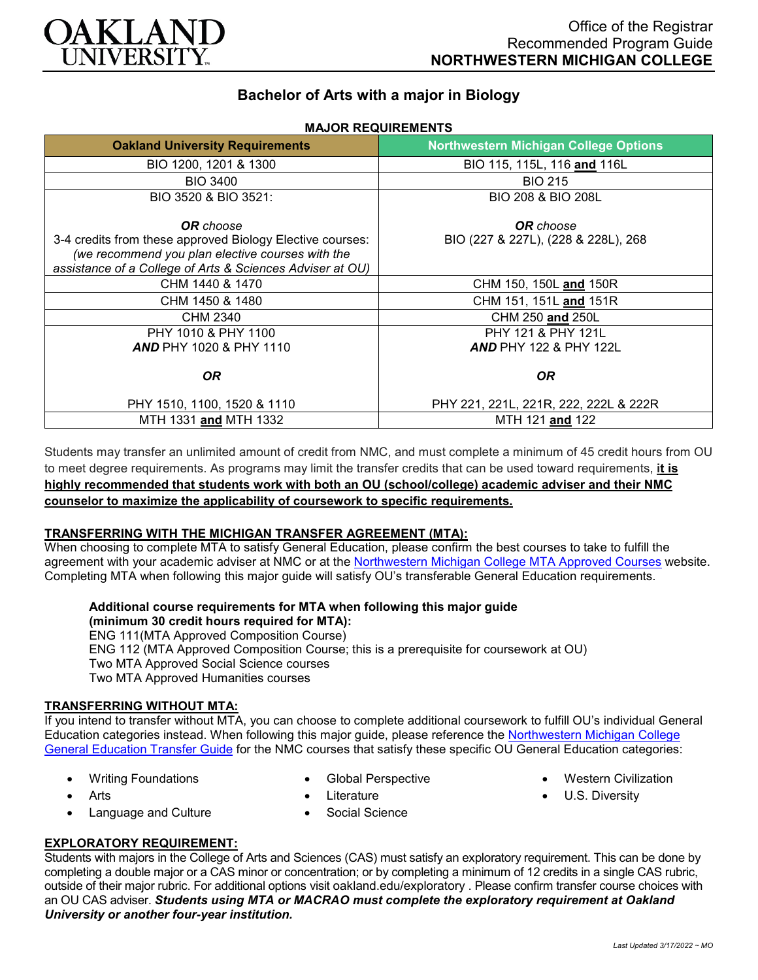

# **Bachelor of Arts with a major in Biology**

**MAJOR REQUIREMENTS**

| <b>Oakland University Requirements</b>                                                                                                                                                         | <b>Northwestern Michigan College Options</b>            |
|------------------------------------------------------------------------------------------------------------------------------------------------------------------------------------------------|---------------------------------------------------------|
| BIO 1200, 1201 & 1300                                                                                                                                                                          | BIO 115, 115L, 116 and 116L                             |
| <b>BIO 3400</b>                                                                                                                                                                                | <b>BIO 215</b>                                          |
| BIO 3520 & BIO 3521:                                                                                                                                                                           | BIO 208 & BIO 208L                                      |
| <b>OR</b> choose<br>3-4 credits from these approved Biology Elective courses:<br>(we recommend you plan elective courses with the<br>assistance of a College of Arts & Sciences Adviser at OU) | <b>OR</b> choose<br>BIO (227 & 227L), (228 & 228L), 268 |
| CHM 1440 & 1470                                                                                                                                                                                | CHM 150, 150L and 150R                                  |
| CHM 1450 & 1480                                                                                                                                                                                | CHM 151, 151L and 151R                                  |
| CHM 2340                                                                                                                                                                                       | CHM 250 and 250L                                        |
| PHY 1010 & PHY 1100<br><b>AND PHY 1020 &amp; PHY 1110</b>                                                                                                                                      | PHY 121 & PHY 121L<br><b>AND PHY 122 &amp; PHY 122L</b> |
| <b>OR</b>                                                                                                                                                                                      | OR.                                                     |
| PHY 1510, 1100, 1520 & 1110                                                                                                                                                                    | PHY 221, 221L, 221R, 222, 222L & 222R                   |
| MTH 1331 and MTH 1332                                                                                                                                                                          | MTH 121 and 122                                         |

Students may transfer an unlimited amount of credit from NMC, and must complete a minimum of 45 credit hours from OU to meet degree requirements. As programs may limit the transfer credits that can be used toward requirements, **it is highly recommended that students work with both an OU (school/college) academic adviser and their NMC counselor to maximize the applicability of coursework to specific requirements.**

## **TRANSFERRING WITH THE MICHIGAN TRANSFER AGREEMENT (MTA):**

When choosing to complete MTA to satisfy General Education, please confirm the best courses to take to fulfill the agreement with your academic adviser at NMC or at the [Northwestern Michigan College MTA Approved Courses](https://www.nmc.edu/programs/course-descriptions/group-1-courses-for-mta.pdf) website. Completing MTA when following this major guide will satisfy OU's transferable General Education requirements.

#### **Additional course requirements for MTA when following this major guide (minimum 30 credit hours required for MTA):** ENG 111(MTA Approved Composition Course) ENG 112 (MTA Approved Composition Course; this is a prerequisite for coursework at OU) Two MTA Approved Social Science courses

Two MTA Approved Humanities courses

### **TRANSFERRING WITHOUT MTA:**

If you intend to transfer without MTA, you can choose to complete additional coursework to fulfill OU's individual General Education categories instead. When following this major guide, please reference the [Northwestern Michigan College](https://www.oakland.edu/Assets/Oakland/program-guides/northwestern-michigan-college/university-general-education-requirements/Northwestern%20Gen%20Ed.pdf)  [General Education Transfer Guide](https://www.oakland.edu/Assets/Oakland/program-guides/northwestern-michigan-college/university-general-education-requirements/Northwestern%20Gen%20Ed.pdf) for the NMC courses that satisfy these specific OU General Education categories:

- Writing Foundations
- Global Perspective

• Western Civilization

- **Arts**
- Language and Culture
- 

• U.S. Diversity

- Literature
- Social Science

*Last Updated 3/17/2022 ~ MO*

**EXPLORATORY REQUIREMENT:**

Students with majors in the College of Arts and Sciences (CAS) must satisfy an exploratory requirement. This can be done by completing a double major or a CAS minor or concentration; or by completing a minimum of 12 credits in a single CAS rubric, outside of their major rubric. For additional options visit [oakland.edu/exploratory](http://www.oakland.edu/exploratory) . Please confirm transfer course choices with an OU CAS adviser. *Students using MTA or MACRAO must complete the exploratory requirement at Oakland University or another four-year institution.*